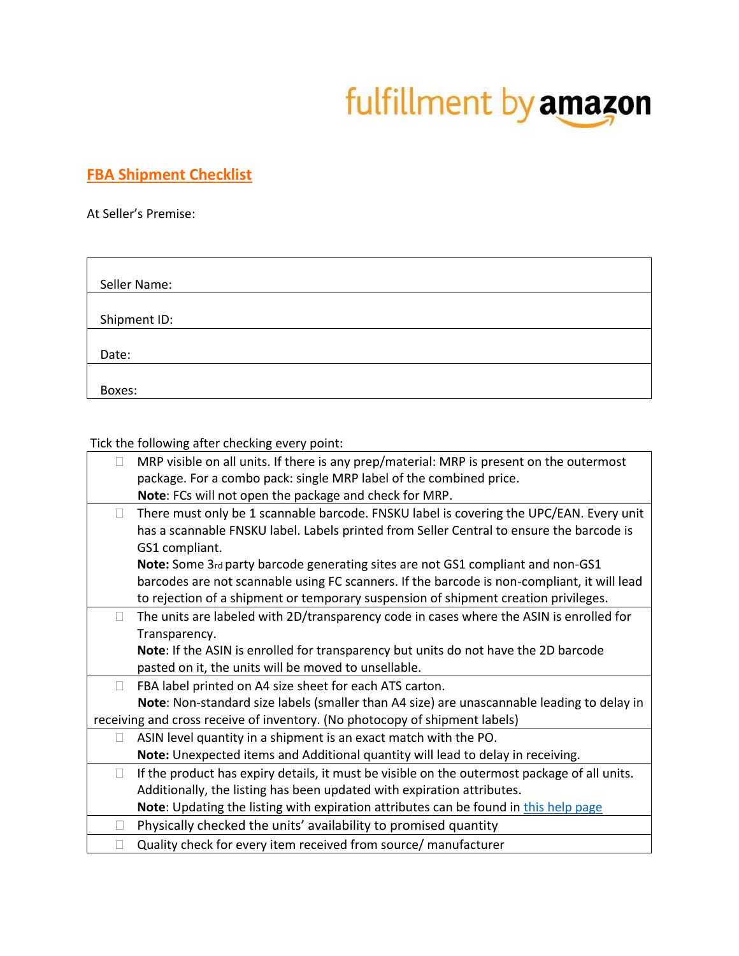## fulfillment by amazon

## **FBA Shipment Checklist**

At Seller's Premise:

| Seller Name: |  |
|--------------|--|
|              |  |
| Shipment ID: |  |
|              |  |
| Date:        |  |
|              |  |
| Boxes:       |  |

Tick the following after checking every point:

|        | MRP visible on all units. If there is any prep/material: MRP is present on the outermost     |
|--------|----------------------------------------------------------------------------------------------|
|        | package. For a combo pack: single MRP label of the combined price.                           |
|        | Note: FCs will not open the package and check for MRP.                                       |
| П      | There must only be 1 scannable barcode. FNSKU label is covering the UPC/EAN. Every unit      |
|        | has a scannable FNSKU label. Labels printed from Seller Central to ensure the barcode is     |
|        | GS1 compliant.                                                                               |
|        | Note: Some 3rd party barcode generating sites are not GS1 compliant and non-GS1              |
|        | barcodes are not scannable using FC scanners. If the barcode is non-compliant, it will lead  |
|        | to rejection of a shipment or temporary suspension of shipment creation privileges.          |
| П      | The units are labeled with 2D/transparency code in cases where the ASIN is enrolled for      |
|        | Transparency.                                                                                |
|        | Note: If the ASIN is enrolled for transparency but units do not have the 2D barcode          |
|        | pasted on it, the units will be moved to unsellable.                                         |
| П      | FBA label printed on A4 size sheet for each ATS carton.                                      |
|        | Note: Non-standard size labels (smaller than A4 size) are unascannable leading to delay in   |
|        | receiving and cross receive of inventory. (No photocopy of shipment labels)                  |
| $\Box$ | ASIN level quantity in a shipment is an exact match with the PO.                             |
|        | Note: Unexpected items and Additional quantity will lead to delay in receiving.              |
| $\Box$ | If the product has expiry details, it must be visible on the outermost package of all units. |
|        | Additionally, the listing has been updated with expiration attributes.                       |
|        | Note: Updating the listing with expiration attributes can be found in this help page         |
|        | Physically checked the units' availability to promised quantity                              |
|        | Quality check for every item received from source/ manufacturer                              |